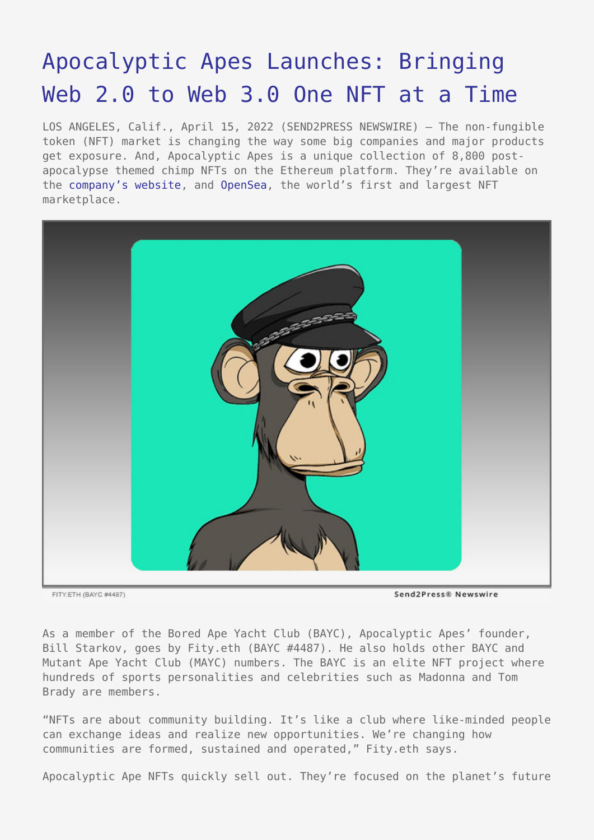## [Apocalyptic Apes Launches: Bringing](https://www.send2press.com/wire/apocalyptic-apes-launches-bringing-web-2-0-to-web-3-0-one-nft-at-a-time/) [Web 2.0 to Web 3.0 One NFT at a Time](https://www.send2press.com/wire/apocalyptic-apes-launches-bringing-web-2-0-to-web-3-0-one-nft-at-a-time/)

LOS ANGELES, Calif., April 15, 2022 (SEND2PRESS NEWSWIRE) — The non-fungible token (NFT) market is changing the way some big companies and major products get exposure. And, Apocalyptic Apes is a unique collection of 8,800 postapocalypse themed chimp NFTs on the Ethereum platform. They're available on the [company's website,](https://apocalypticapes.com/) and [OpenSea,](https://opensea.io/collection/apocalyptic-apes) the world's first and largest NFT marketplace.



FITY.ETH (BAYC #4487)

Send2Press® Newswire

As a member of the Bored Ape Yacht Club (BAYC), Apocalyptic Apes' founder, Bill Starkov, goes by Fity.eth (BAYC #4487). He also holds other BAYC and Mutant Ape Yacht Club (MAYC) numbers. The BAYC is an elite NFT project where hundreds of sports personalities and celebrities such as Madonna and Tom Brady are members.

"NFTs are about community building. It's like a club where like-minded people can exchange ideas and realize new opportunities. We're changing how communities are formed, sustained and operated," Fity.eth says.

Apocalyptic Ape NFTs quickly sell out. They're focused on the planet's future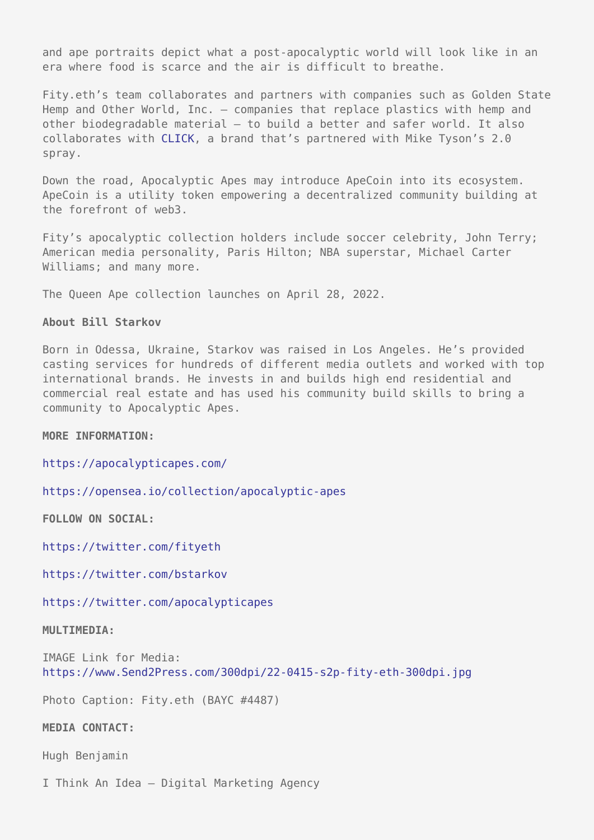and ape portraits depict what a post-apocalyptic world will look like in an era where food is scarce and the air is difficult to breathe.

Fity.eth's team collaborates and partners with companies such as Golden State Hemp and Other World, Inc. – companies that replace plastics with hemp and other biodegradable material – to build a better and safer world. It also collaborates with [CLICK,](https://clickspray.com/) a brand that's partnered with Mike Tyson's 2.0 spray.

Down the road, Apocalyptic Apes may introduce ApeCoin into its ecosystem. ApeCoin is a utility token empowering a decentralized community building at the forefront of web3.

Fity's apocalyptic collection holders include soccer celebrity, John Terry; American media personality, Paris Hilton; NBA superstar, Michael Carter Williams; and many more.

The Queen Ape collection launches on April 28, 2022.

## **About Bill Starkov**

Born in Odessa, Ukraine, Starkov was raised in Los Angeles. He's provided casting services for hundreds of different media outlets and worked with top international brands. He invests in and builds high end residential and commercial real estate and has used his community build skills to bring a community to Apocalyptic Apes.

**MORE INFORMATION:**

<https://apocalypticapes.com/>

<https://opensea.io/collection/apocalyptic-apes>

**FOLLOW ON SOCIAL:**

<https://twitter.com/fityeth>

<https://twitter.com/bstarkov>

<https://twitter.com/apocalypticapes>

## **MULTIMEDIA:**

IMAGE Link for Media: <https://www.Send2Press.com/300dpi/22-0415-s2p-fity-eth-300dpi.jpg>

Photo Caption: Fity.eth (BAYC #4487)

**MEDIA CONTACT:**

Hugh Benjamin

I Think An Idea – Digital Marketing Agency